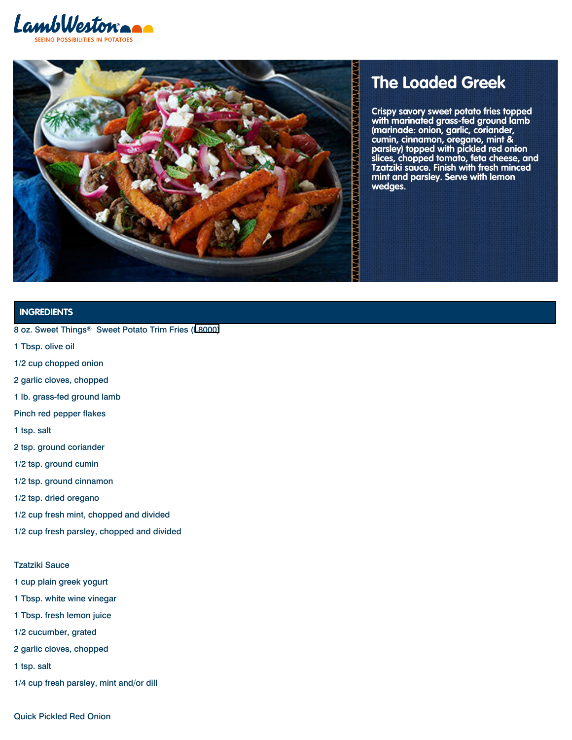



# **The Loaded Greek**

Crispy savory sweet potato fries topped with marinated grass-fed ground lamb (marinade: onion, garlic, coriander, **(marinade: onion, garlic, coriander,** cumin, cinnamon, oregano, mint & parsley) topped with pickled red onion slices, chopped tomato, feta cheese, Tzatziki sauce. Finish with fresh mince mint and parsley. Serve with lemon wedges. **Crispy savory sweet potato fries topped with marinated grass-fed ground lamb cumin, cinnamon, oregano, mint & parsley) topped with pickled red onion slices, chopped tomato, feta cheese, and Tzatziki sauce. Finish with fresh minced mint and parsley. Serve with lemon**

# **INGREDIENTS**

- 8 oz. Sweet Things® Sweet Potato Trim Fries ([L8000\)](/content/lamb-weston/en-us/products/l8000.html)
- 1 Tbsp. olive oil
- 1/2 cup chopped onion
- 2 garlic cloves, chopped
- 1 lb. grass-fed ground lamb
- Pinch red pepper flakes
- 1 tsp. salt
- 2 tsp. ground coriander
- 1/2 tsp. ground cumin
- 1/2 tsp. ground cinnamon
- 1/2 tsp. dried oregano
- 1/2 cup fresh mint, chopped and divided
- 1/2 cup fresh parsley, chopped and divided

## Tzatziki Sauce

- 1 cup plain greek yogurt
- 1 Tbsp. white wine vinegar
- 1 Tbsp. fresh lemon juice
- 1/2 cucumber, grated
- 2 garlic cloves, chopped
- 1 tsp. salt
- 1/4 cup fresh parsley, mint and/or dill

Quick Pickled Red Onion